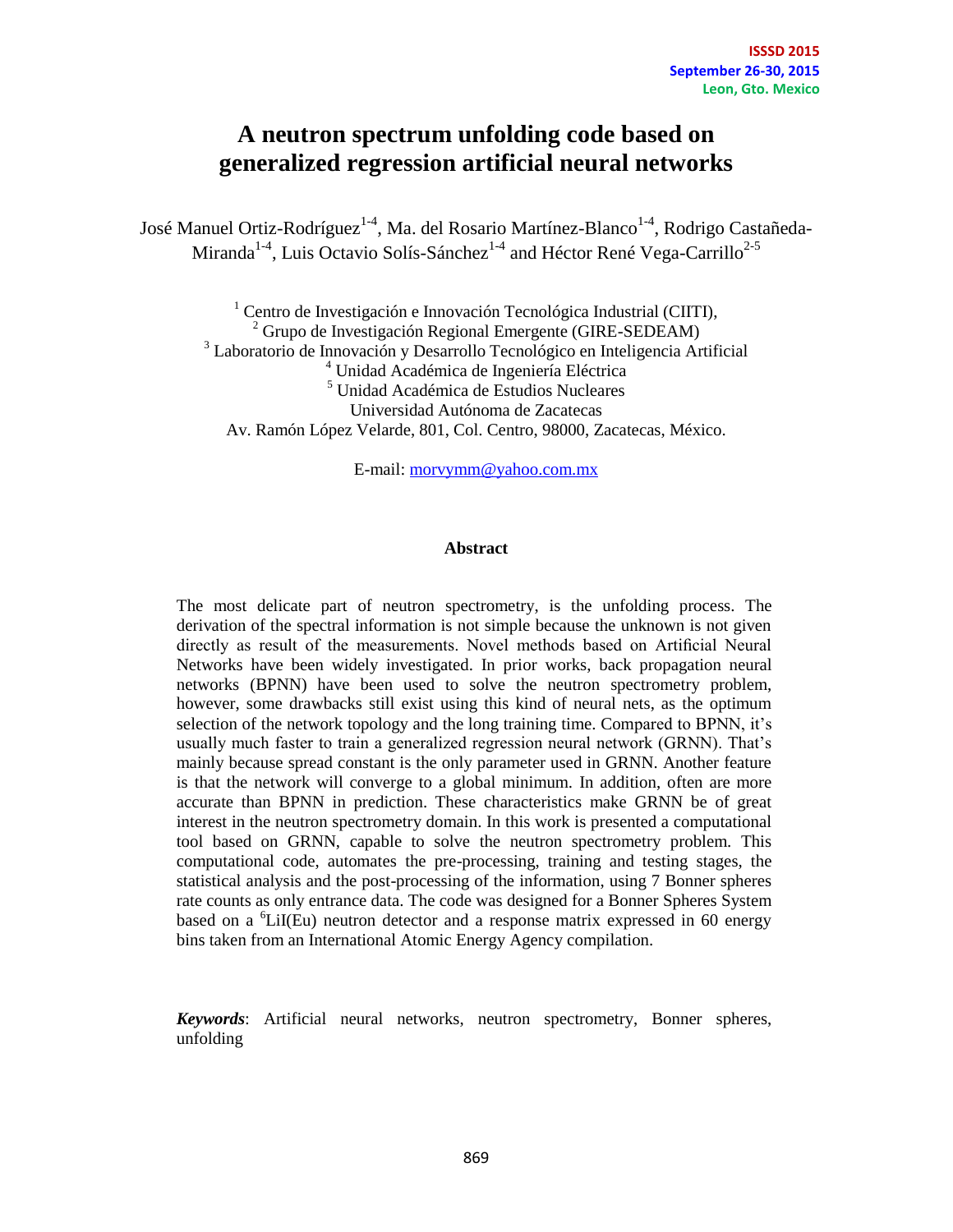## **A neutron spectrum unfolding code based on generalized regression artificial neural networks**

José Manuel Ortiz-Rodríguez<sup>1-4</sup>, Ma. del Rosario Martínez-Blanco<sup>1-4</sup>, Rodrigo Castañeda-Miranda<sup>1-4</sup>, Luis Octavio Solís-Sánchez<sup>1-4</sup> and Héctor René Vega-Carrillo<sup>2-5</sup>

 $1$  Centro de Investigación e Innovación Tecnológica Industrial (CIITI),  $^{2}$  Grupo de Investigación Regional Emergente (GIRE-SEDEAM) <sup>3</sup> Laboratorio de Innovación y Desarrollo Tecnológico en Inteligencia Artificial <sup>4</sup> Unidad Académica de Ingeniería Eléctrica <sup>5</sup> Unidad Académica de Estudios Nucleares Universidad Autónoma de Zacatecas Av. Ramón López Velarde, 801, Col. Centro, 98000, Zacatecas, México.

E-mail: [morvymm@yahoo.com.mx](mailto:morvymm@yahoo.com.mx)

#### **Abstract**

The most delicate part of neutron spectrometry, is the unfolding process. The derivation of the spectral information is not simple because the unknown is not given directly as result of the measurements. Novel methods based on Artificial Neural Networks have been widely investigated. In prior works, back propagation neural networks (BPNN) have been used to solve the neutron spectrometry problem, however, some drawbacks still exist using this kind of neural nets, as the optimum selection of the network topology and the long training time. Compared to BPNN, it's usually much faster to train a generalized regression neural network (GRNN). That's mainly because spread constant is the only parameter used in GRNN. Another feature is that the network will converge to a global minimum. In addition, often are more accurate than BPNN in prediction. These characteristics make GRNN be of great interest in the neutron spectrometry domain. In this work is presented a computational tool based on GRNN, capable to solve the neutron spectrometry problem. This computational code, automates the pre-processing, training and testing stages, the statistical analysis and the post-processing of the information, using 7 Bonner spheres rate counts as only entrance data. The code was designed for a Bonner Spheres System based on a  ${}^{6}$ LiI(Eu) neutron detector and a response matrix expressed in 60 energy bins taken from an International Atomic Energy Agency compilation.

*Keywords*: Artificial neural networks, neutron spectrometry, Bonner spheres, unfolding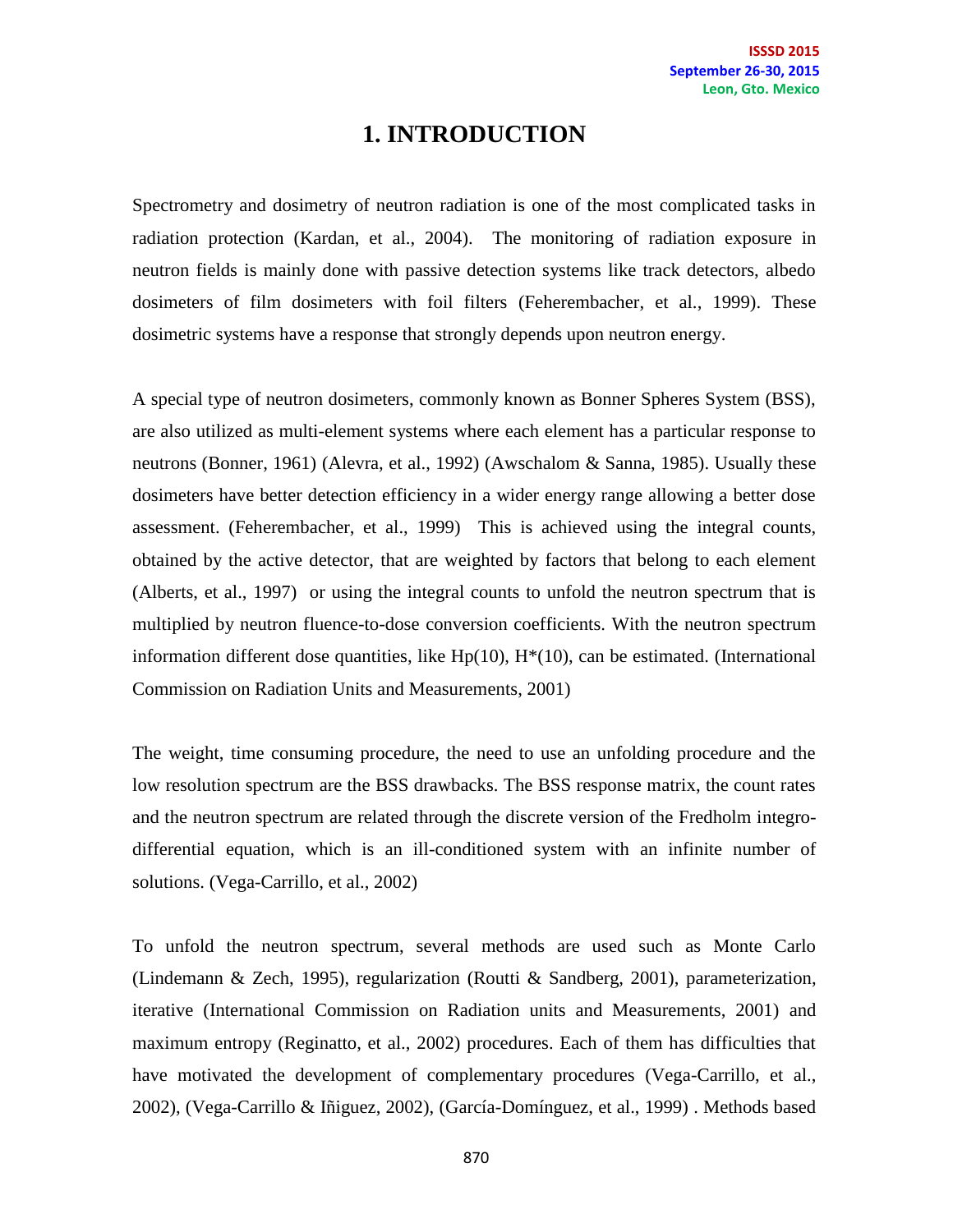# **1. INTRODUCTION**

Spectrometry and dosimetry of neutron radiation is one of the most complicated tasks in radiation protection (Kardan, et al., 2004). The monitoring of radiation exposure in neutron fields is mainly done with passive detection systems like track detectors, albedo dosimeters of film dosimeters with foil filters (Feherembacher, et al., 1999). These dosimetric systems have a response that strongly depends upon neutron energy.

A special type of neutron dosimeters, commonly known as Bonner Spheres System (BSS), are also utilized as multi-element systems where each element has a particular response to neutrons (Bonner, 1961) (Alevra, et al., 1992) (Awschalom & Sanna, 1985). Usually these dosimeters have better detection efficiency in a wider energy range allowing a better dose assessment. (Feherembacher, et al., 1999) This is achieved using the integral counts, obtained by the active detector, that are weighted by factors that belong to each element (Alberts, et al., 1997) or using the integral counts to unfold the neutron spectrum that is multiplied by neutron fluence-to-dose conversion coefficients. With the neutron spectrum information different dose quantities, like  $Hp(10)$ ,  $H^*(10)$ , can be estimated. (International Commission on Radiation Units and Measurements, 2001)

The weight, time consuming procedure, the need to use an unfolding procedure and the low resolution spectrum are the BSS drawbacks. The BSS response matrix, the count rates and the neutron spectrum are related through the discrete version of the Fredholm integrodifferential equation, which is an ill-conditioned system with an infinite number of solutions. (Vega-Carrillo, et al., 2002)

To unfold the neutron spectrum, several methods are used such as Monte Carlo (Lindemann & Zech, 1995), regularization (Routti & Sandberg, 2001), parameterization, iterative (International Commission on Radiation units and Measurements, 2001) and maximum entropy (Reginatto, et al., 2002) procedures. Each of them has difficulties that have motivated the development of complementary procedures (Vega-Carrillo, et al., 2002), (Vega-Carrillo & Iñiguez, 2002), (García-Domínguez, et al., 1999) . Methods based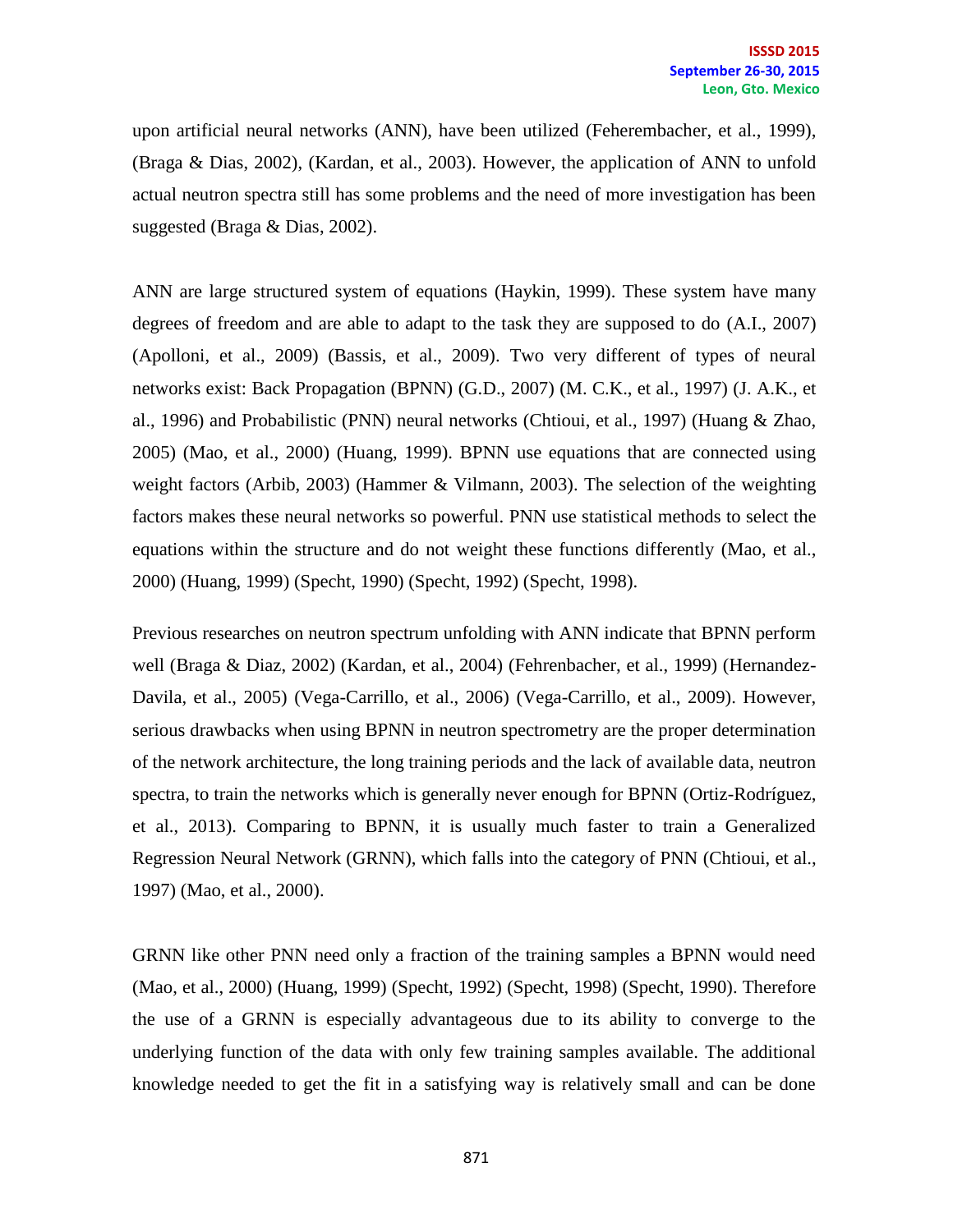upon artificial neural networks (ANN), have been utilized (Feherembacher, et al., 1999), (Braga & Dias, 2002), (Kardan, et al., 2003). However, the application of ANN to unfold actual neutron spectra still has some problems and the need of more investigation has been suggested (Braga & Dias, 2002).

ANN are large structured system of equations (Haykin, 1999). These system have many degrees of freedom and are able to adapt to the task they are supposed to do (A.I., 2007) (Apolloni, et al., 2009) (Bassis, et al., 2009). Two very different of types of neural networks exist: Back Propagation (BPNN) (G.D., 2007) (M. C.K., et al., 1997) (J. A.K., et al., 1996) and Probabilistic (PNN) neural networks (Chtioui, et al., 1997) (Huang & Zhao, 2005) (Mao, et al., 2000) (Huang, 1999). BPNN use equations that are connected using weight factors (Arbib, 2003) (Hammer & Vilmann, 2003). The selection of the weighting factors makes these neural networks so powerful. PNN use statistical methods to select the equations within the structure and do not weight these functions differently (Mao, et al., 2000) (Huang, 1999) (Specht, 1990) (Specht, 1992) (Specht, 1998).

Previous researches on neutron spectrum unfolding with ANN indicate that BPNN perform well (Braga & Diaz, 2002) (Kardan, et al., 2004) (Fehrenbacher, et al., 1999) (Hernandez-Davila, et al., 2005) (Vega-Carrillo, et al., 2006) (Vega-Carrillo, et al., 2009). However, serious drawbacks when using BPNN in neutron spectrometry are the proper determination of the network architecture, the long training periods and the lack of available data, neutron spectra, to train the networks which is generally never enough for BPNN (Ortiz-Rodríguez, et al., 2013). Comparing to BPNN, it is usually much faster to train a Generalized Regression Neural Network (GRNN), which falls into the category of PNN (Chtioui, et al., 1997) (Mao, et al., 2000).

GRNN like other PNN need only a fraction of the training samples a BPNN would need (Mao, et al., 2000) (Huang, 1999) (Specht, 1992) (Specht, 1998) (Specht, 1990). Therefore the use of a GRNN is especially advantageous due to its ability to converge to the underlying function of the data with only few training samples available. The additional knowledge needed to get the fit in a satisfying way is relatively small and can be done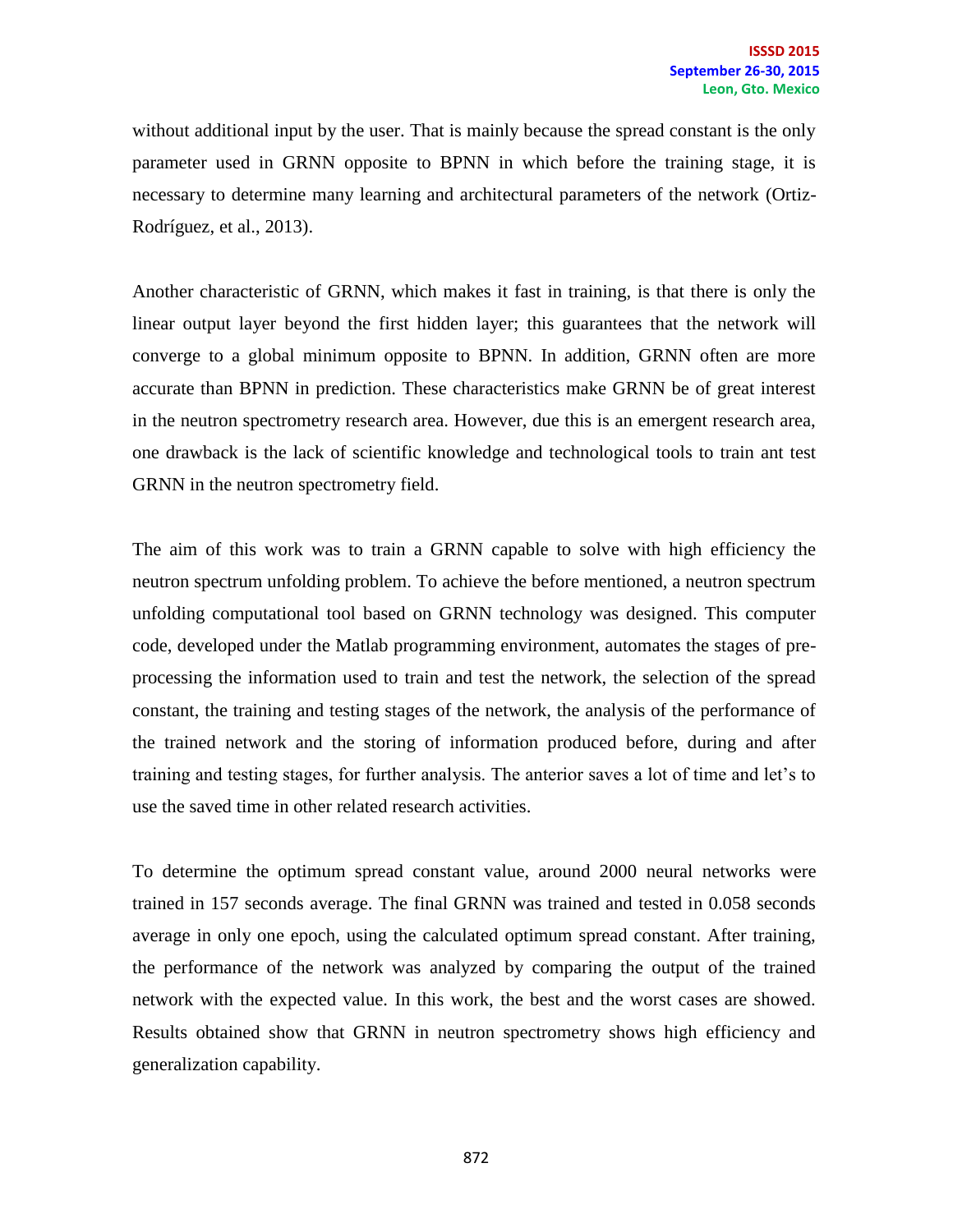without additional input by the user. That is mainly because the spread constant is the only parameter used in GRNN opposite to BPNN in which before the training stage, it is necessary to determine many learning and architectural parameters of the network (Ortiz-Rodríguez, et al., 2013).

Another characteristic of GRNN, which makes it fast in training, is that there is only the linear output layer beyond the first hidden layer; this guarantees that the network will converge to a global minimum opposite to BPNN. In addition, GRNN often are more accurate than BPNN in prediction. These characteristics make GRNN be of great interest in the neutron spectrometry research area. However, due this is an emergent research area, one drawback is the lack of scientific knowledge and technological tools to train ant test GRNN in the neutron spectrometry field.

The aim of this work was to train a GRNN capable to solve with high efficiency the neutron spectrum unfolding problem. To achieve the before mentioned, a neutron spectrum unfolding computational tool based on GRNN technology was designed. This computer code, developed under the Matlab programming environment, automates the stages of preprocessing the information used to train and test the network, the selection of the spread constant, the training and testing stages of the network, the analysis of the performance of the trained network and the storing of information produced before, during and after training and testing stages, for further analysis. The anterior saves a lot of time and let's to use the saved time in other related research activities.

To determine the optimum spread constant value, around 2000 neural networks were trained in 157 seconds average. The final GRNN was trained and tested in 0.058 seconds average in only one epoch, using the calculated optimum spread constant. After training, the performance of the network was analyzed by comparing the output of the trained network with the expected value. In this work, the best and the worst cases are showed. Results obtained show that GRNN in neutron spectrometry shows high efficiency and generalization capability.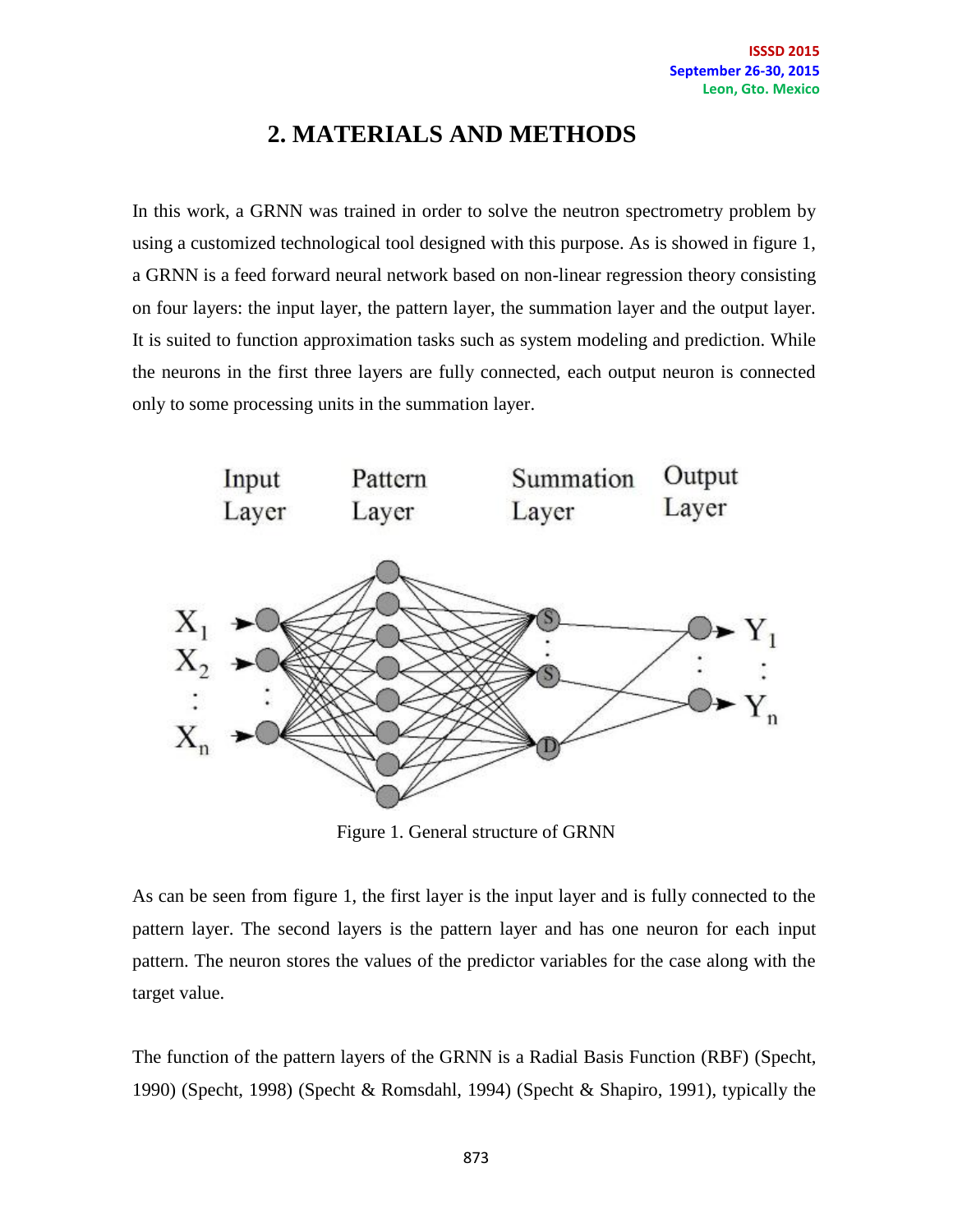# **2. MATERIALS AND METHODS**

In this work, a GRNN was trained in order to solve the neutron spectrometry problem by using a customized technological tool designed with this purpose. As is showed in figure 1, a GRNN is a feed forward neural network based on non-linear regression theory consisting on four layers: the input layer, the pattern layer, the summation layer and the output layer. It is suited to function approximation tasks such as system modeling and prediction. While the neurons in the first three layers are fully connected, each output neuron is connected only to some processing units in the summation layer.



Figure 1. General structure of GRNN

As can be seen from figure 1, the first layer is the input layer and is fully connected to the pattern layer. The second layers is the pattern layer and has one neuron for each input pattern. The neuron stores the values of the predictor variables for the case along with the target value.

The function of the pattern layers of the GRNN is a Radial Basis Function (RBF) (Specht, 1990) (Specht, 1998) (Specht & Romsdahl, 1994) (Specht & Shapiro, 1991), typically the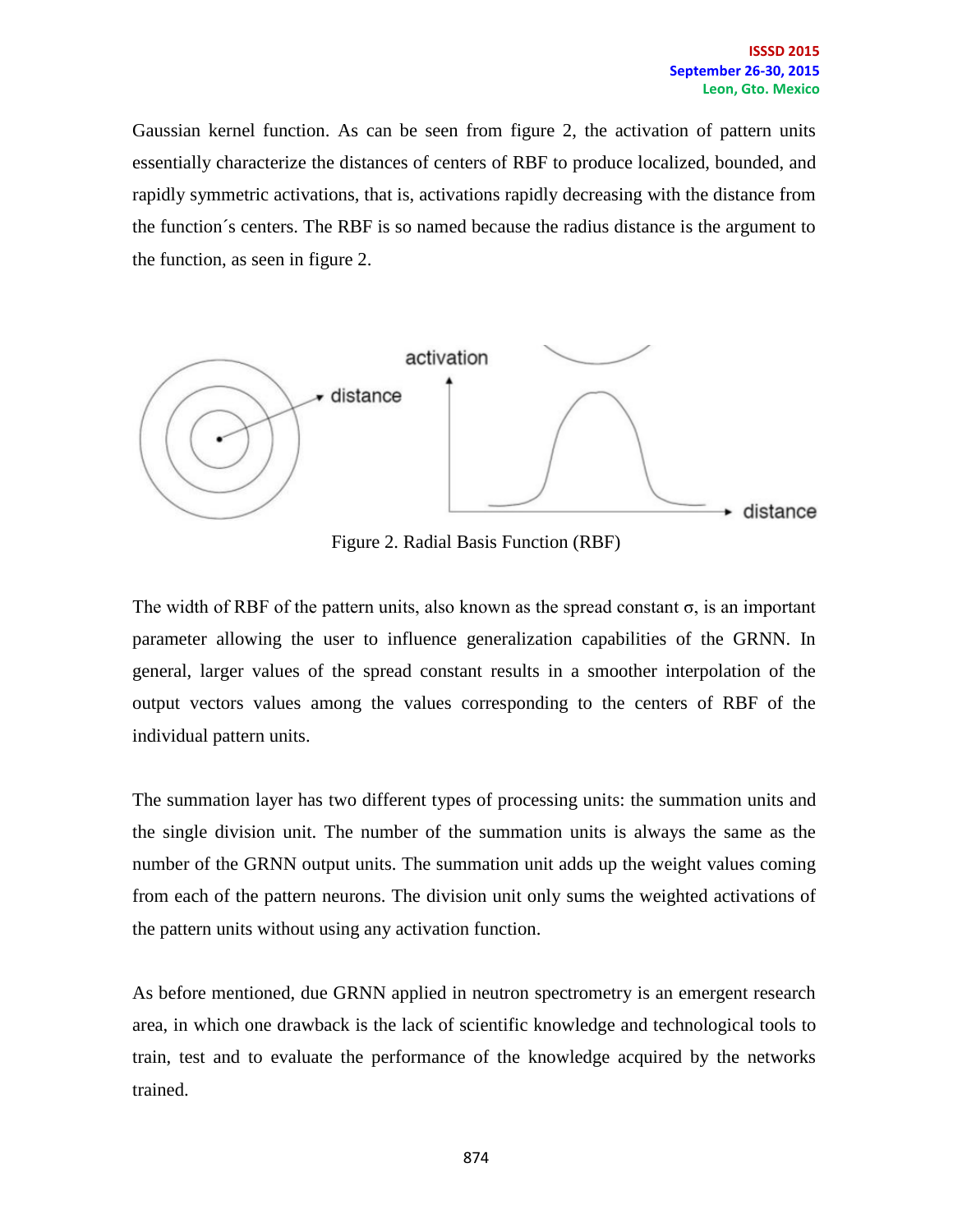Gaussian kernel function. As can be seen from figure 2, the activation of pattern units essentially characterize the distances of centers of RBF to produce localized, bounded, and rapidly symmetric activations, that is, activations rapidly decreasing with the distance from the function´s centers. The RBF is so named because the radius distance is the argument to the function, as seen in figure 2.



Figure 2. Radial Basis Function (RBF)

The width of RBF of the pattern units, also known as the spread constant  $\sigma$ , is an important parameter allowing the user to influence generalization capabilities of the GRNN. In general, larger values of the spread constant results in a smoother interpolation of the output vectors values among the values corresponding to the centers of RBF of the individual pattern units.

The summation layer has two different types of processing units: the summation units and the single division unit. The number of the summation units is always the same as the number of the GRNN output units. The summation unit adds up the weight values coming from each of the pattern neurons. The division unit only sums the weighted activations of the pattern units without using any activation function.

As before mentioned, due GRNN applied in neutron spectrometry is an emergent research area, in which one drawback is the lack of scientific knowledge and technological tools to train, test and to evaluate the performance of the knowledge acquired by the networks trained.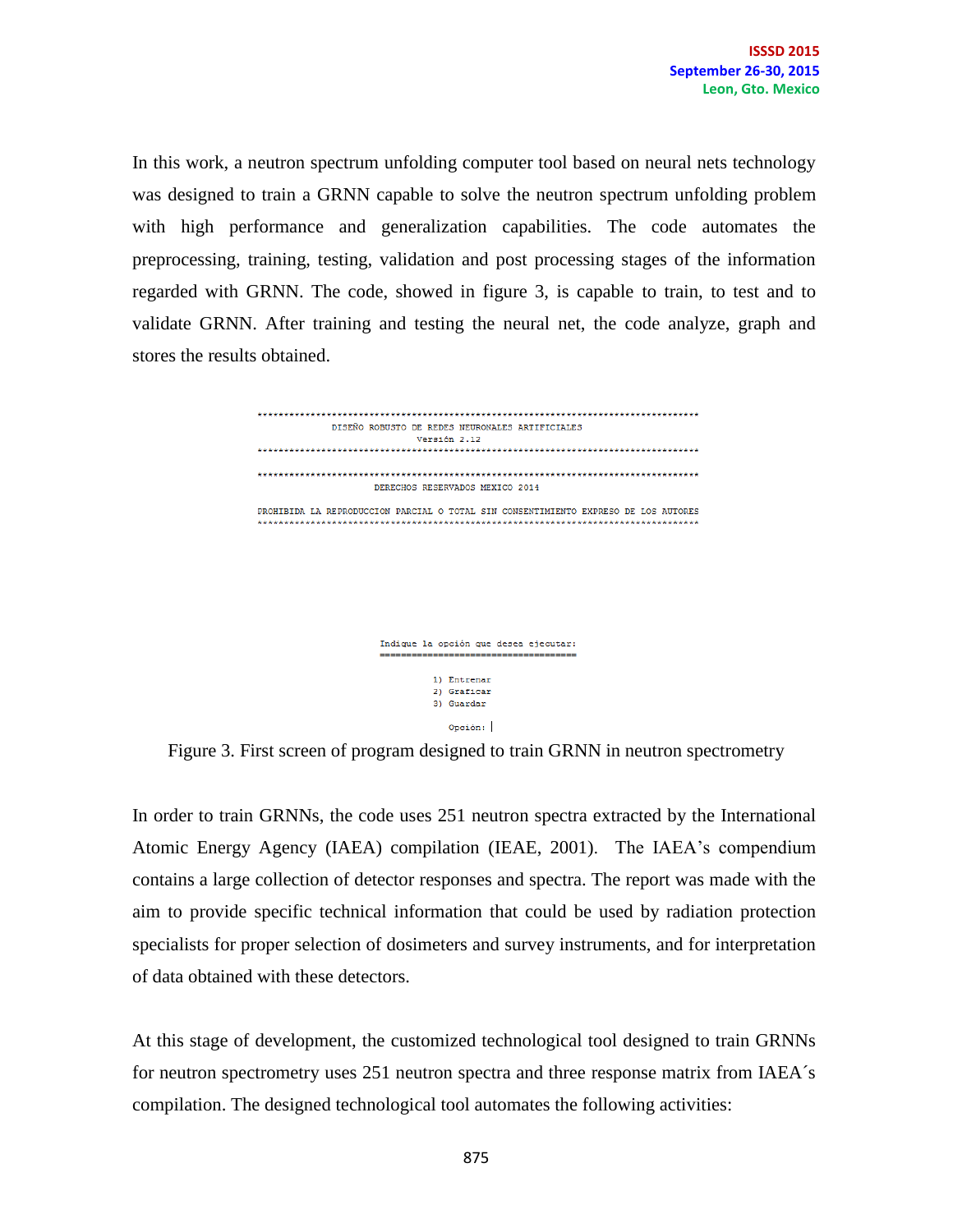In this work, a neutron spectrum unfolding computer tool based on neural nets technology was designed to train a GRNN capable to solve the neutron spectrum unfolding problem with high performance and generalization capabilities. The code automates the preprocessing, training, testing, validation and post processing stages of the information regarded with GRNN. The code, showed in figure 3, is capable to train, to test and to validate GRNN. After training and testing the neural net, the code analyze, graph and stores the results obtained.



Indique la opción que desea ejecutar: 1) Entrenar 2) Graficar 3) Guardar Opción:

Figure 3. First screen of program designed to train GRNN in neutron spectrometry

In order to train GRNNs, the code uses 251 neutron spectra extracted by the International Atomic Energy Agency (IAEA) compilation (IEAE, 2001). The IAEA's compendium contains a large collection of detector responses and spectra. The report was made with the aim to provide specific technical information that could be used by radiation protection specialists for proper selection of dosimeters and survey instruments, and for interpretation of data obtained with these detectors.

At this stage of development, the customized technological tool designed to train GRNNs for neutron spectrometry uses 251 neutron spectra and three response matrix from IAEA´s compilation. The designed technological tool automates the following activities: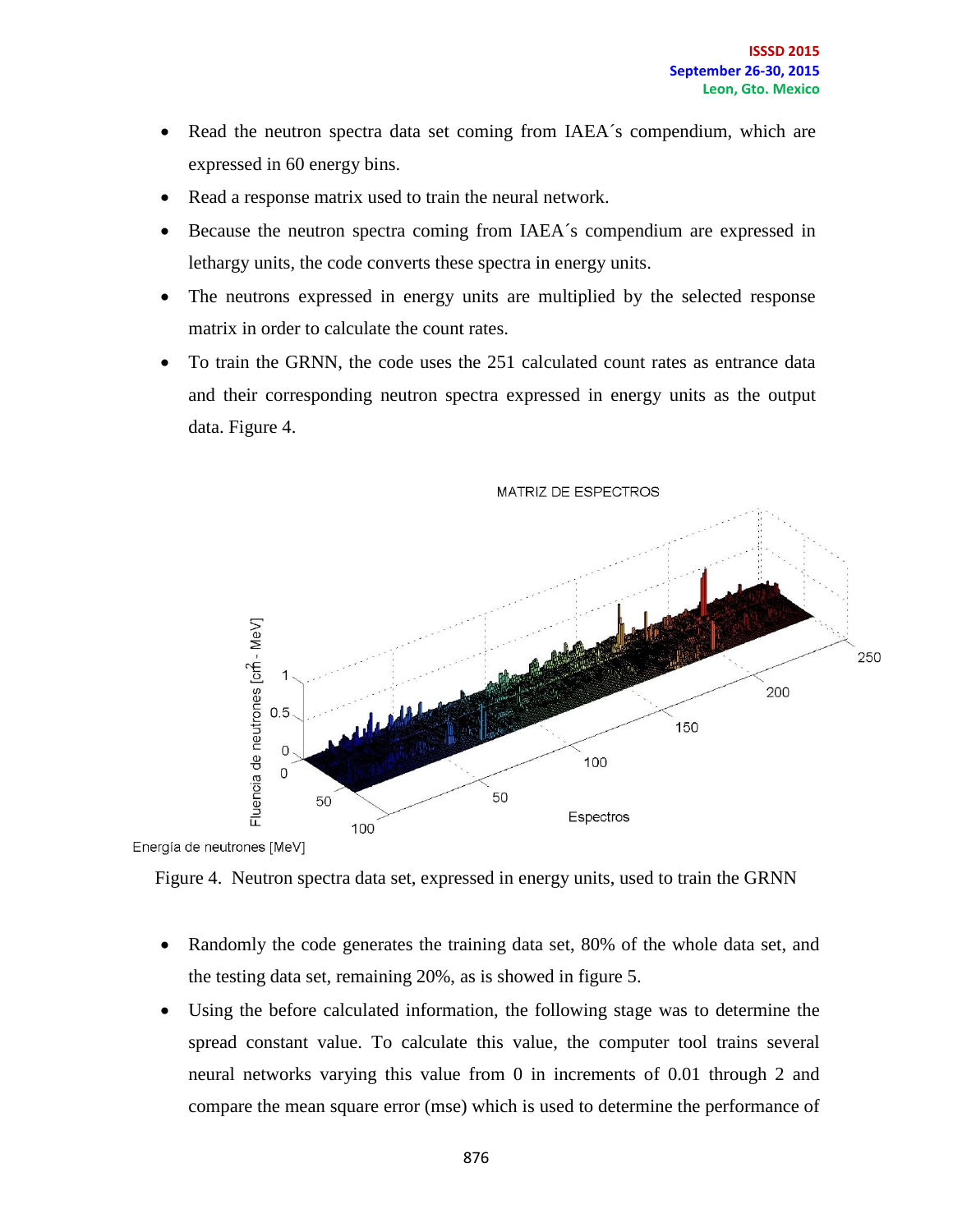- Read the neutron spectra data set coming from IAEA's compendium, which are expressed in 60 energy bins.
- Read a response matrix used to train the neural network.
- Because the neutron spectra coming from IAEA´s compendium are expressed in lethargy units, the code converts these spectra in energy units.
- The neutrons expressed in energy units are multiplied by the selected response matrix in order to calculate the count rates.
- To train the GRNN, the code uses the 251 calculated count rates as entrance data and their corresponding neutron spectra expressed in energy units as the output data. Figure 4.



Energía de neutrones [MeV]

- Randomly the code generates the training data set, 80% of the whole data set, and the testing data set, remaining 20%, as is showed in figure 5.
- Using the before calculated information, the following stage was to determine the spread constant value. To calculate this value, the computer tool trains several neural networks varying this value from 0 in increments of 0.01 through 2 and compare the mean square error (mse) which is used to determine the performance of

Figure 4. Neutron spectra data set, expressed in energy units, used to train the GRNN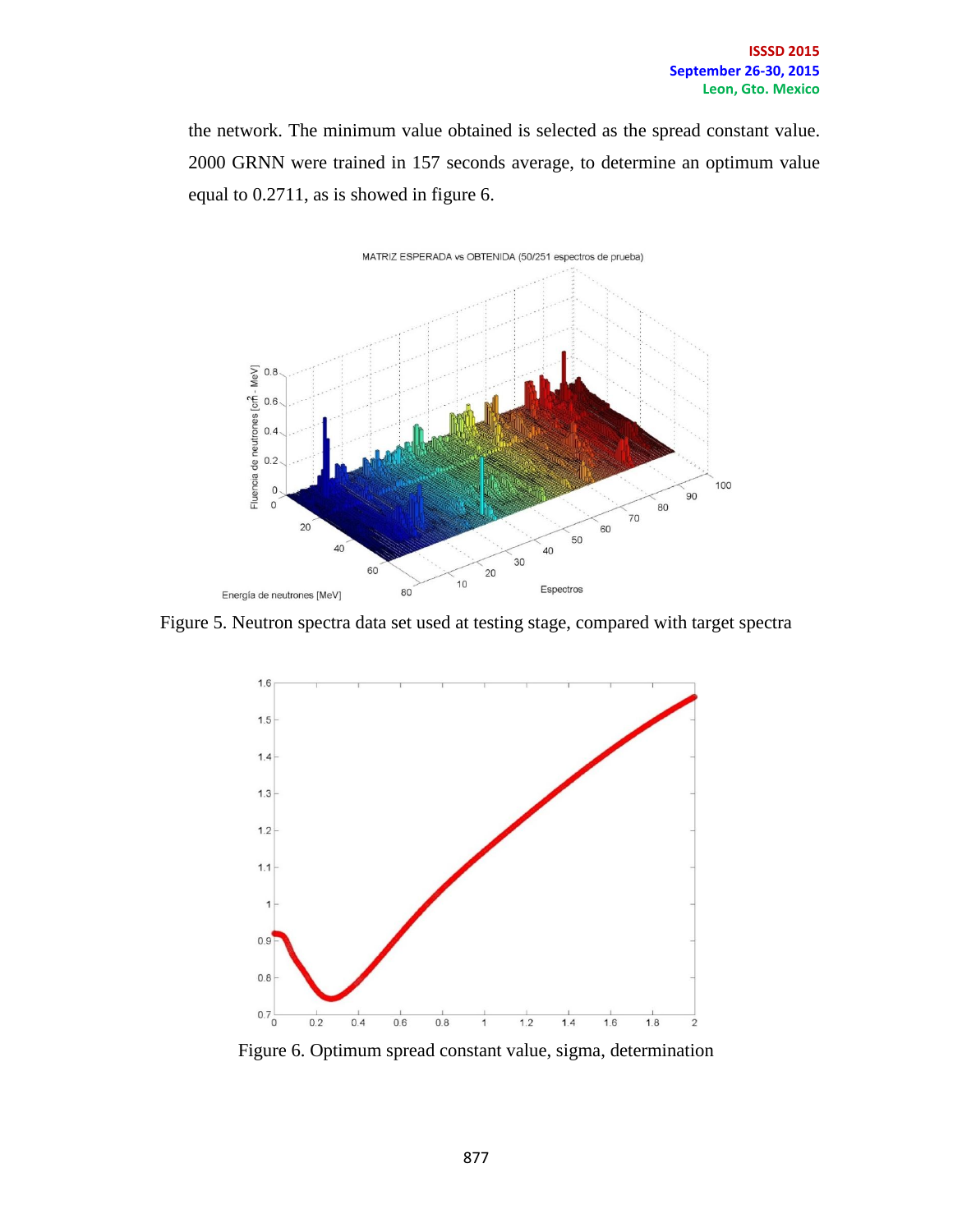the network. The minimum value obtained is selected as the spread constant value. 2000 GRNN were trained in 157 seconds average, to determine an optimum value equal to 0.2711, as is showed in figure 6.



Figure 5. Neutron spectra data set used at testing stage, compared with target spectra



Figure 6. Optimum spread constant value, sigma, determination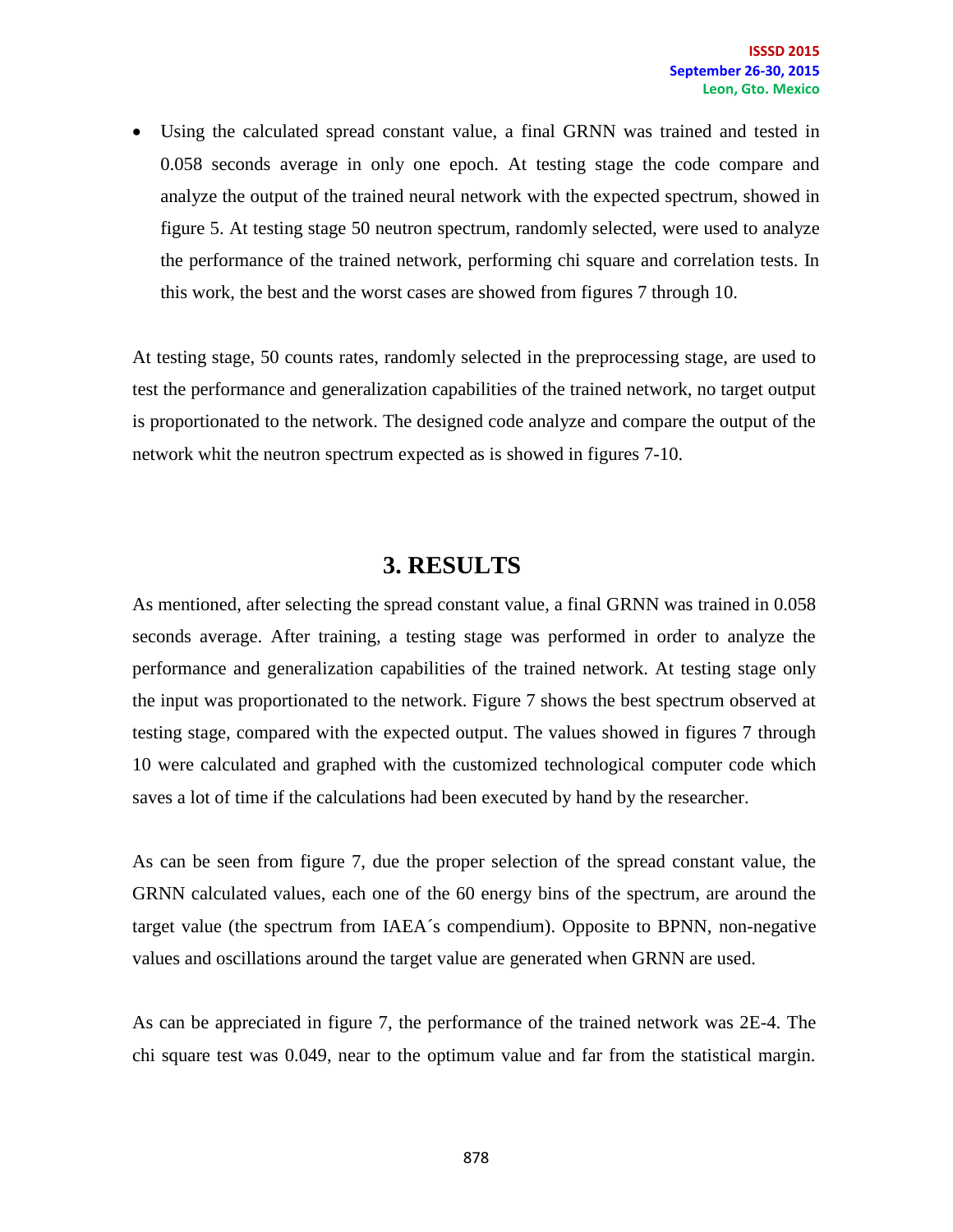Using the calculated spread constant value, a final GRNN was trained and tested in 0.058 seconds average in only one epoch. At testing stage the code compare and analyze the output of the trained neural network with the expected spectrum, showed in figure 5. At testing stage 50 neutron spectrum, randomly selected, were used to analyze the performance of the trained network, performing chi square and correlation tests. In this work, the best and the worst cases are showed from figures 7 through 10.

At testing stage, 50 counts rates, randomly selected in the preprocessing stage, are used to test the performance and generalization capabilities of the trained network, no target output is proportionated to the network. The designed code analyze and compare the output of the network whit the neutron spectrum expected as is showed in figures 7-10.

### **3. RESULTS**

As mentioned, after selecting the spread constant value, a final GRNN was trained in 0.058 seconds average. After training, a testing stage was performed in order to analyze the performance and generalization capabilities of the trained network. At testing stage only the input was proportionated to the network. Figure 7 shows the best spectrum observed at testing stage, compared with the expected output. The values showed in figures 7 through 10 were calculated and graphed with the customized technological computer code which saves a lot of time if the calculations had been executed by hand by the researcher.

As can be seen from figure 7, due the proper selection of the spread constant value, the GRNN calculated values, each one of the 60 energy bins of the spectrum, are around the target value (the spectrum from IAEA´s compendium). Opposite to BPNN, non-negative values and oscillations around the target value are generated when GRNN are used.

As can be appreciated in figure 7, the performance of the trained network was 2E-4. The chi square test was 0.049, near to the optimum value and far from the statistical margin.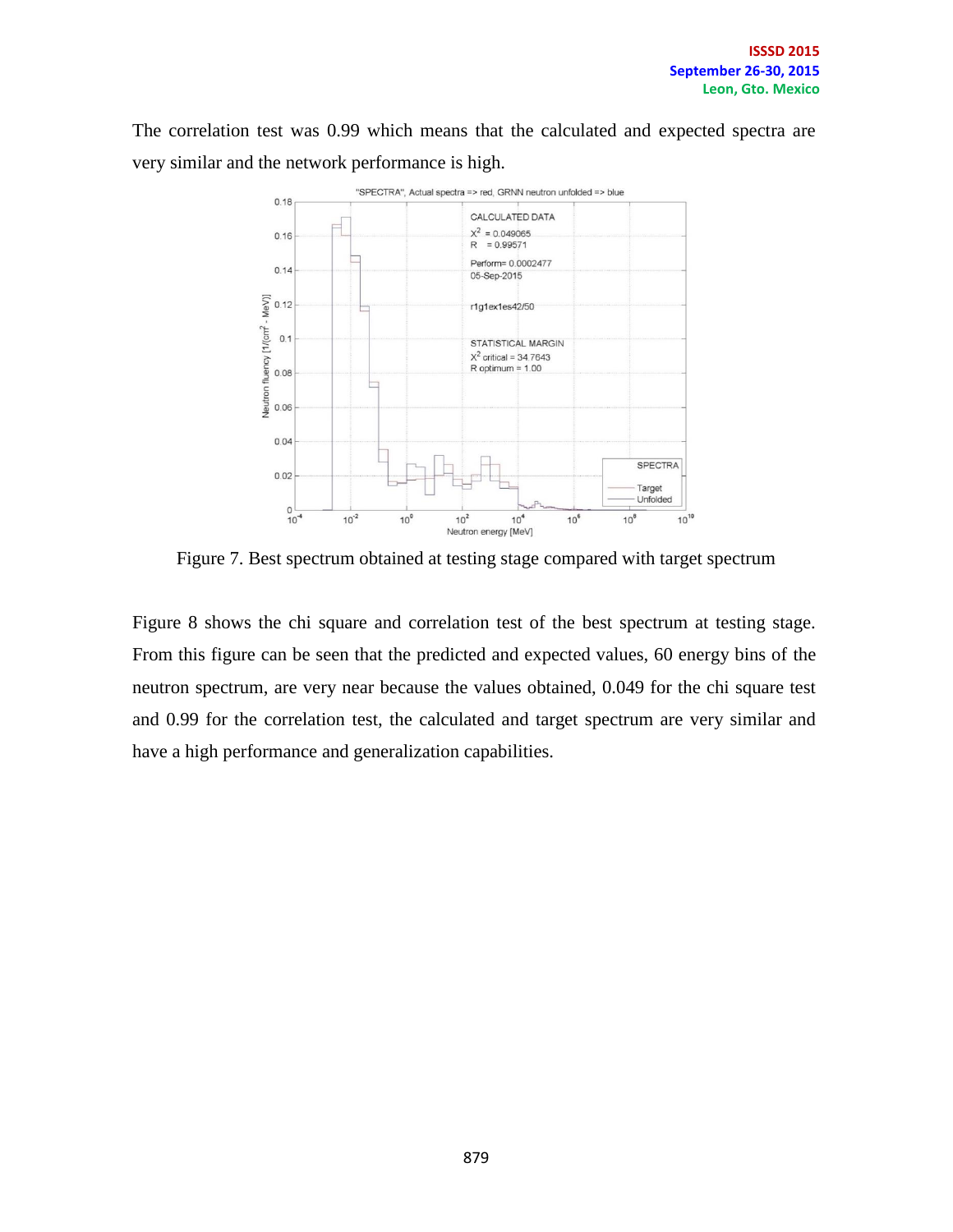The correlation test was 0.99 which means that the calculated and expected spectra are very similar and the network performance is high.



Figure 7. Best spectrum obtained at testing stage compared with target spectrum

Figure 8 shows the chi square and correlation test of the best spectrum at testing stage. From this figure can be seen that the predicted and expected values, 60 energy bins of the neutron spectrum, are very near because the values obtained, 0.049 for the chi square test and 0.99 for the correlation test, the calculated and target spectrum are very similar and have a high performance and generalization capabilities.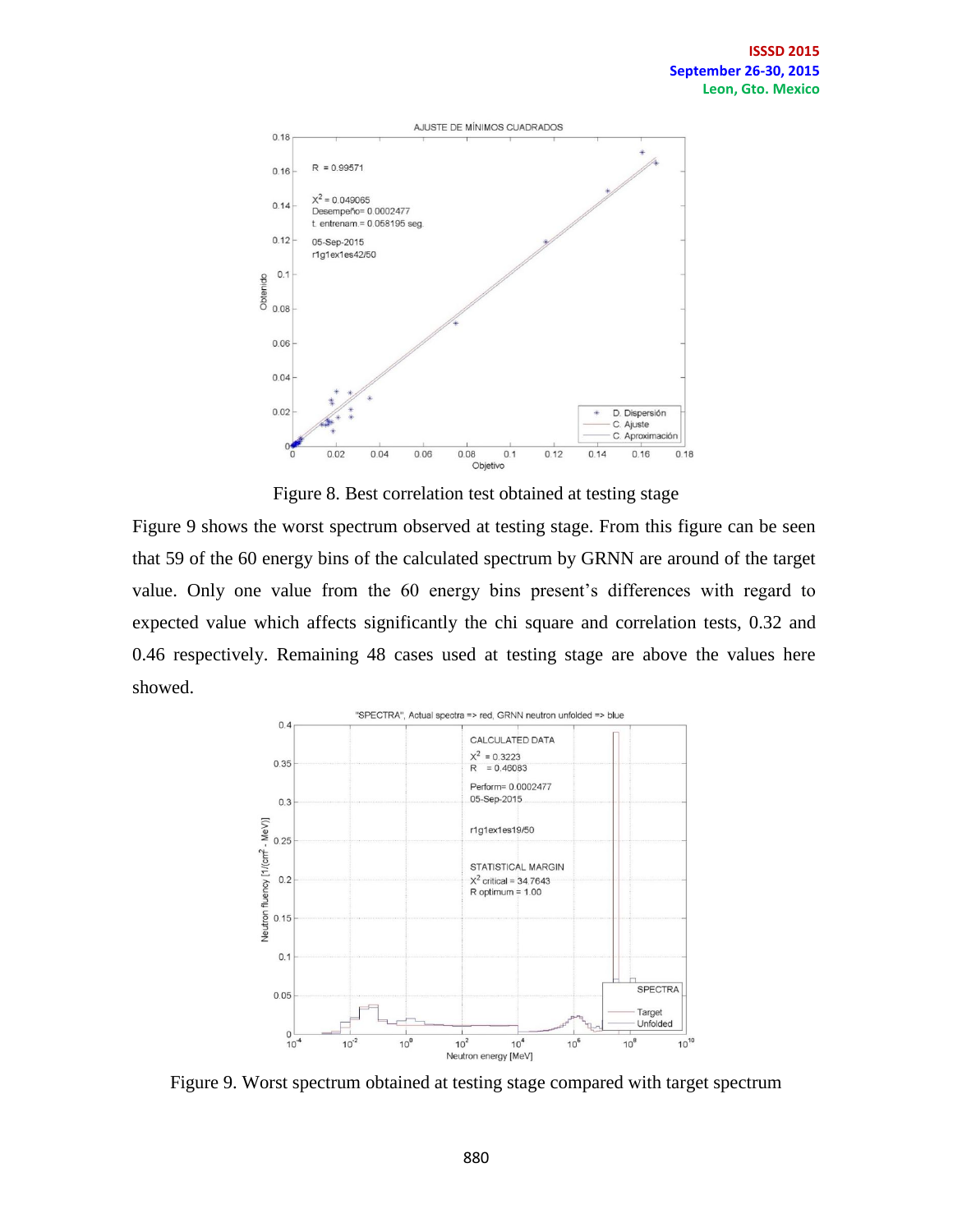

Figure 8. Best correlation test obtained at testing stage

Figure 9 shows the worst spectrum observed at testing stage. From this figure can be seen that 59 of the 60 energy bins of the calculated spectrum by GRNN are around of the target value. Only one value from the 60 energy bins present's differences with regard to expected value which affects significantly the chi square and correlation tests, 0.32 and 0.46 respectively. Remaining 48 cases used at testing stage are above the values here showed.



Figure 9. Worst spectrum obtained at testing stage compared with target spectrum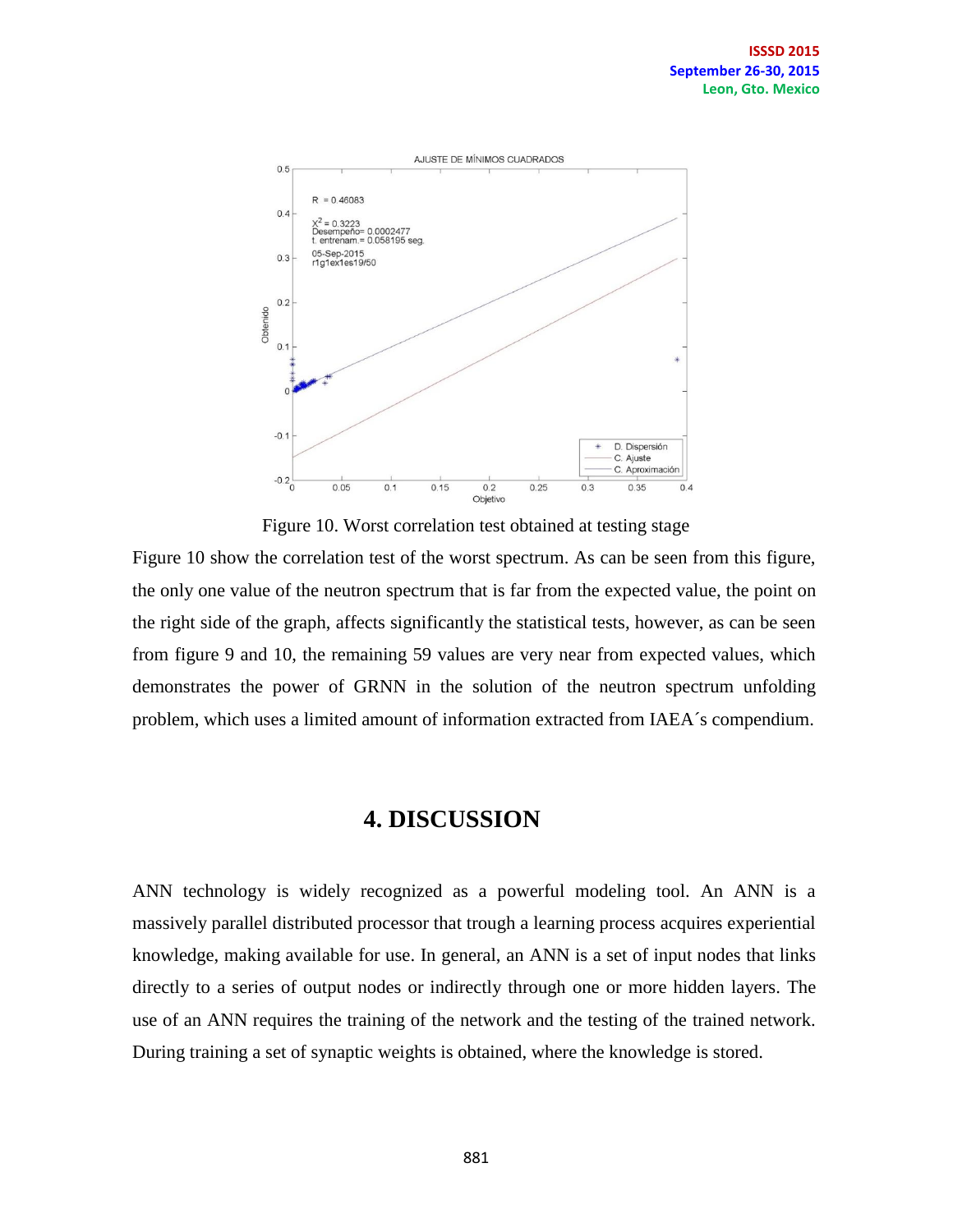

Figure 10. Worst correlation test obtained at testing stage

Figure 10 show the correlation test of the worst spectrum. As can be seen from this figure, the only one value of the neutron spectrum that is far from the expected value, the point on the right side of the graph, affects significantly the statistical tests, however, as can be seen from figure 9 and 10, the remaining 59 values are very near from expected values, which demonstrates the power of GRNN in the solution of the neutron spectrum unfolding problem, which uses a limited amount of information extracted from IAEA´s compendium.

### **4. DISCUSSION**

ANN technology is widely recognized as a powerful modeling tool. An ANN is a massively parallel distributed processor that trough a learning process acquires experiential knowledge, making available for use. In general, an ANN is a set of input nodes that links directly to a series of output nodes or indirectly through one or more hidden layers. The use of an ANN requires the training of the network and the testing of the trained network. During training a set of synaptic weights is obtained, where the knowledge is stored.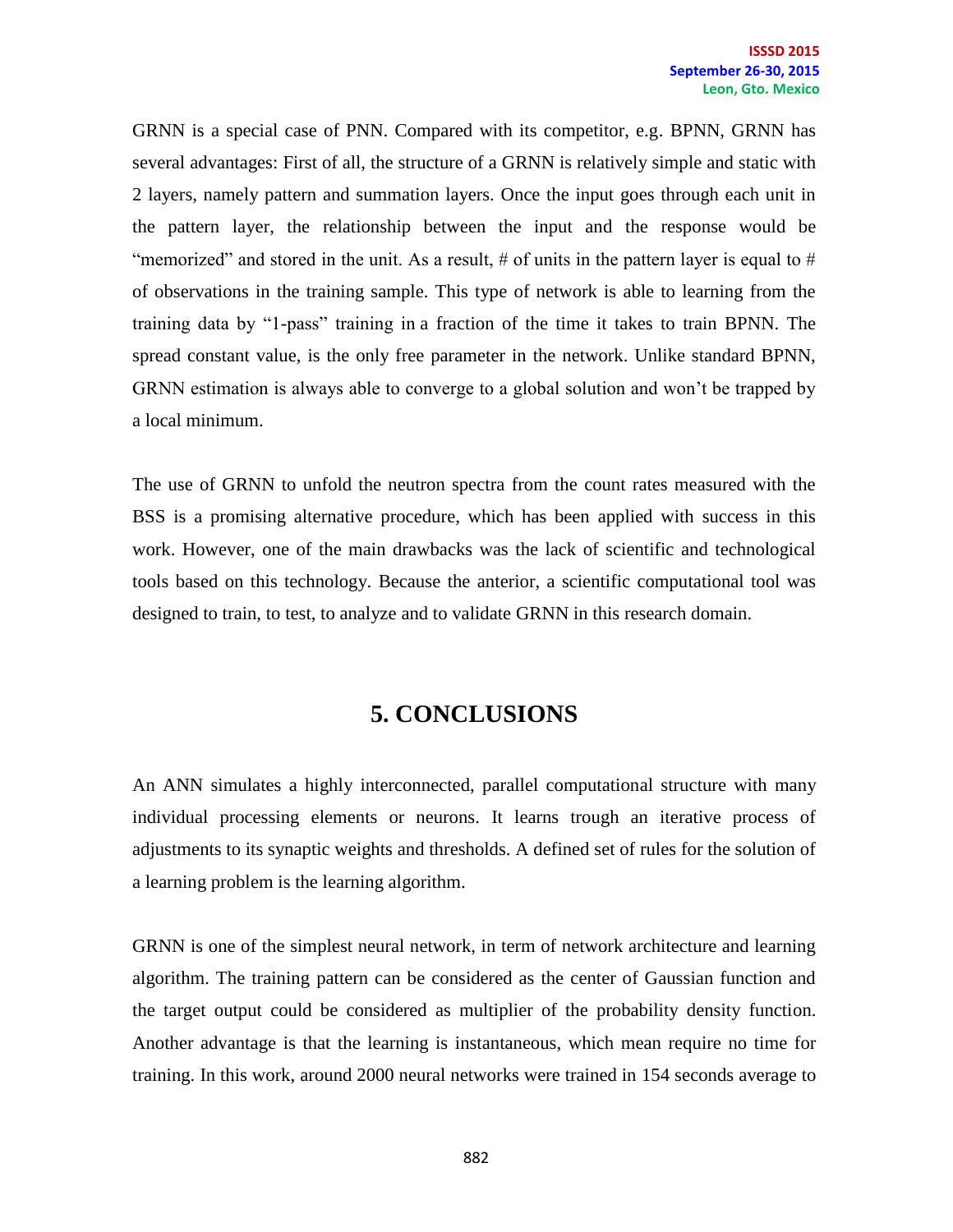GRNN is a special case of PNN. Compared with its competitor, e.g. BPNN, GRNN has several advantages: First of all, the structure of a GRNN is relatively simple and static with 2 layers, namely pattern and summation layers. Once the input goes through each unit in the pattern layer, the relationship between the input and the response would be "memorized" and stored in the unit. As a result, # of units in the pattern layer is equal to # of observations in the training sample. This type of network is able to learning from the training data by "1-pass" training in a fraction of the time it takes to train BPNN. The spread constant value, is the only free parameter in the network. Unlike standard BPNN, GRNN estimation is always able to converge to a global solution and won't be trapped by a local minimum.

The use of GRNN to unfold the neutron spectra from the count rates measured with the BSS is a promising alternative procedure, which has been applied with success in this work. However, one of the main drawbacks was the lack of scientific and technological tools based on this technology. Because the anterior, a scientific computational tool was designed to train, to test, to analyze and to validate GRNN in this research domain.

# **5. CONCLUSIONS**

An ANN simulates a highly interconnected, parallel computational structure with many individual processing elements or neurons. It learns trough an iterative process of adjustments to its synaptic weights and thresholds. A defined set of rules for the solution of a learning problem is the learning algorithm.

GRNN is one of the simplest neural network, in term of network architecture and learning algorithm. The training pattern can be considered as the center of Gaussian function and the target output could be considered as multiplier of the probability density function. Another advantage is that the learning is instantaneous, which mean require no time for training. In this work, around 2000 neural networks were trained in 154 seconds average to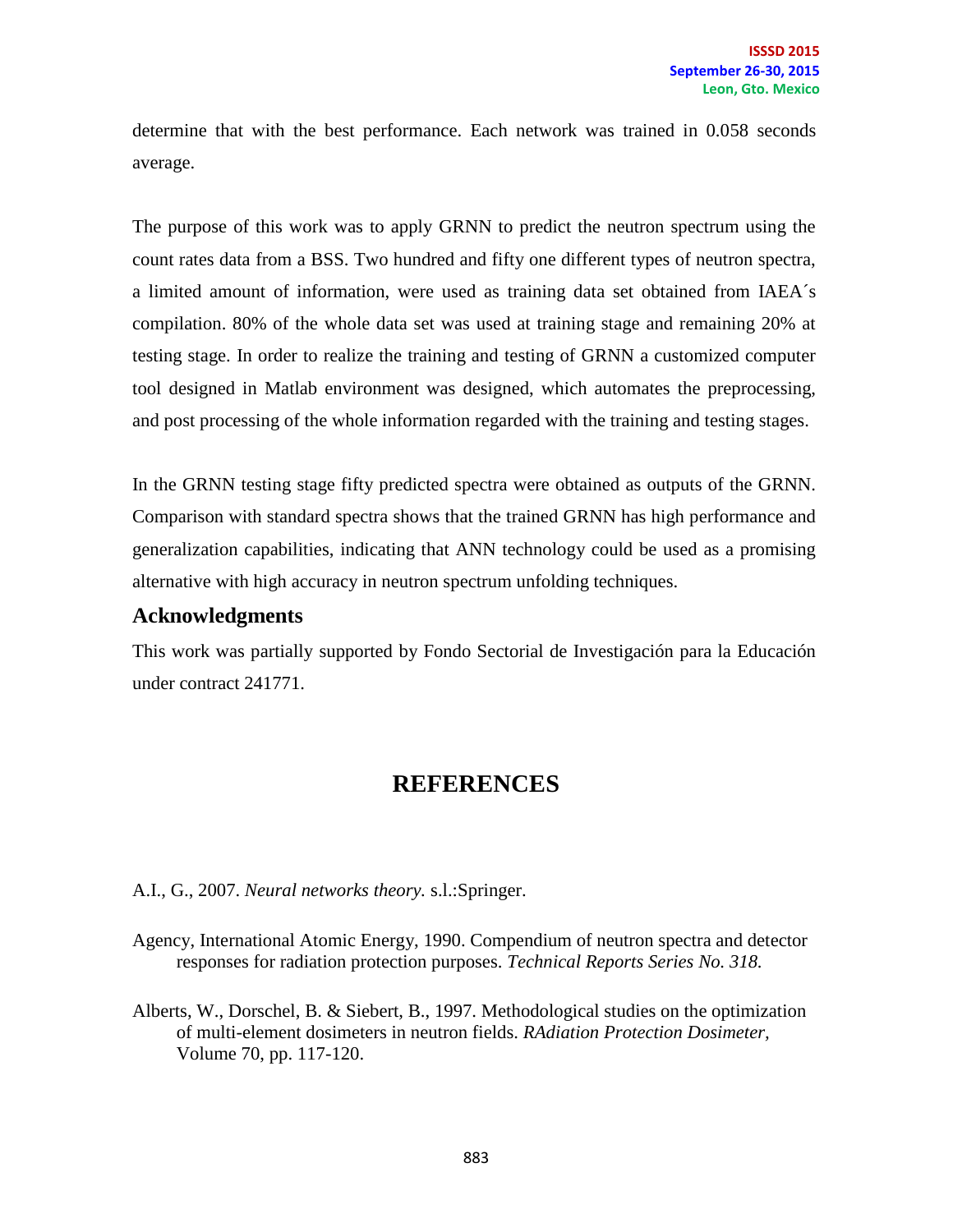determine that with the best performance. Each network was trained in 0.058 seconds average.

The purpose of this work was to apply GRNN to predict the neutron spectrum using the count rates data from a BSS. Two hundred and fifty one different types of neutron spectra, a limited amount of information, were used as training data set obtained from IAEA´s compilation. 80% of the whole data set was used at training stage and remaining 20% at testing stage. In order to realize the training and testing of GRNN a customized computer tool designed in Matlab environment was designed, which automates the preprocessing, and post processing of the whole information regarded with the training and testing stages.

In the GRNN testing stage fifty predicted spectra were obtained as outputs of the GRNN. Comparison with standard spectra shows that the trained GRNN has high performance and generalization capabilities, indicating that ANN technology could be used as a promising alternative with high accuracy in neutron spectrum unfolding techniques.

#### **Acknowledgments**

This work was partially supported by Fondo Sectorial de Investigación para la Educación under contract 241771.

### **REFERENCES**

A.I., G., 2007. *Neural networks theory.* s.l.:Springer.

- Agency, International Atomic Energy, 1990. Compendium of neutron spectra and detector responses for radiation protection purposes. *Technical Reports Series No. 318.*
- Alberts, W., Dorschel, B. & Siebert, B., 1997. Methodological studies on the optimization of multi-element dosimeters in neutron fields. *RAdiation Protection Dosimeter,*  Volume 70, pp. 117-120.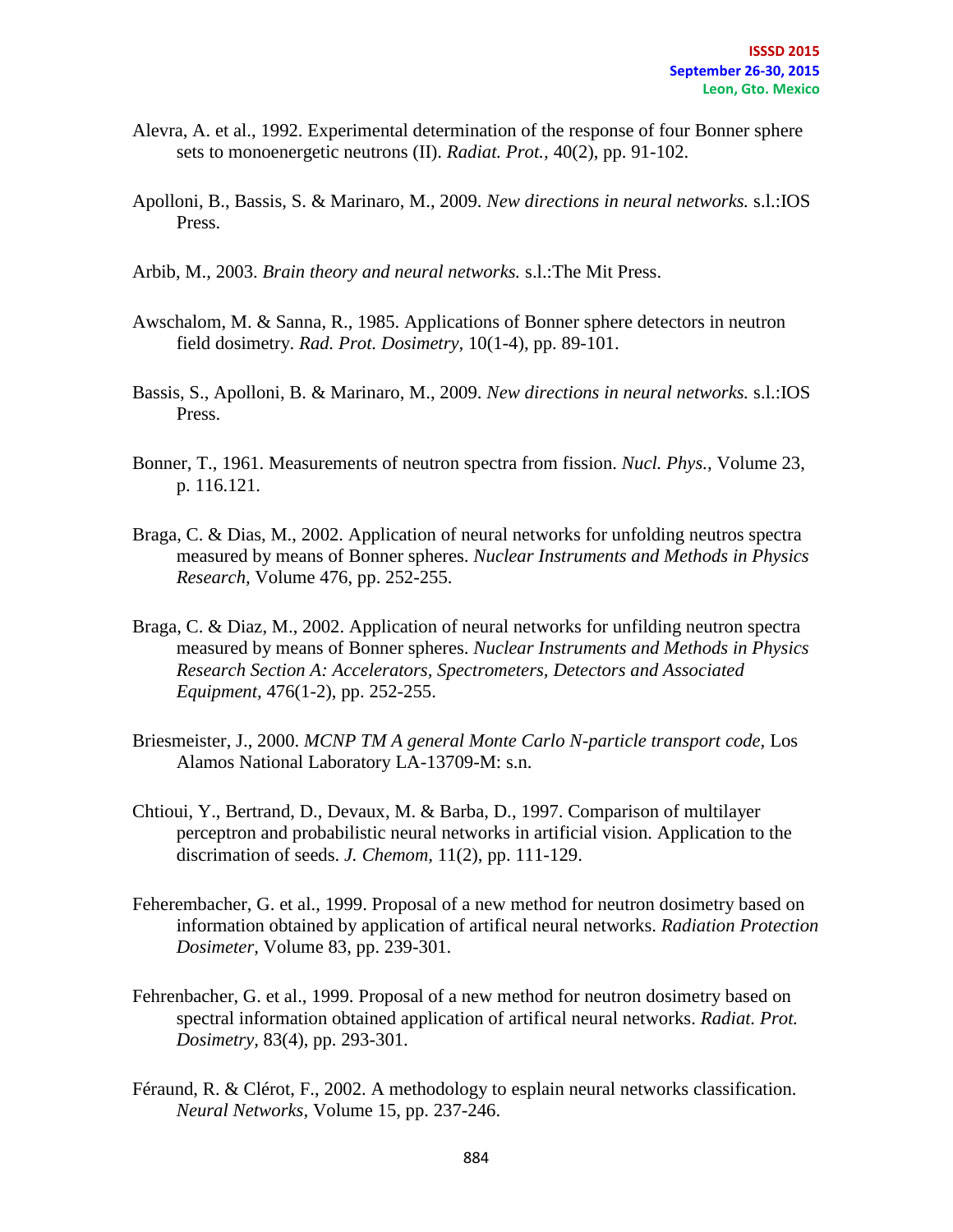- Alevra, A. et al., 1992. Experimental determination of the response of four Bonner sphere sets to monoenergetic neutrons (II). *Radiat. Prot.,* 40(2), pp. 91-102.
- Apolloni, B., Bassis, S. & Marinaro, M., 2009. *New directions in neural networks.* s.l.:IOS Press.
- Arbib, M., 2003. *Brain theory and neural networks.* s.l.:The Mit Press.
- Awschalom, M. & Sanna, R., 1985. Applications of Bonner sphere detectors in neutron field dosimetry. *Rad. Prot. Dosimetry,* 10(1-4), pp. 89-101.
- Bassis, S., Apolloni, B. & Marinaro, M., 2009. *New directions in neural networks.* s.l.:IOS Press.
- Bonner, T., 1961. Measurements of neutron spectra from fission. *Nucl. Phys.,* Volume 23, p. 116.121.
- Braga, C. & Dias, M., 2002. Application of neural networks for unfolding neutros spectra measured by means of Bonner spheres. *Nuclear Instruments and Methods in Physics Research,* Volume 476, pp. 252-255.
- Braga, C. & Diaz, M., 2002. Application of neural networks for unfilding neutron spectra measured by means of Bonner spheres. *Nuclear Instruments and Methods in Physics Research Section A: Accelerators, Spectrometers, Detectors and Associated Equipment,* 476(1-2), pp. 252-255.
- Briesmeister, J., 2000. *MCNP TM A general Monte Carlo N-particle transport code,* Los Alamos National Laboratory LA-13709-M: s.n.
- Chtioui, Y., Bertrand, D., Devaux, M. & Barba, D., 1997. Comparison of multilayer perceptron and probabilistic neural networks in artificial vision. Application to the discrimation of seeds. *J. Chemom,* 11(2), pp. 111-129.
- Feherembacher, G. et al., 1999. Proposal of a new method for neutron dosimetry based on information obtained by application of artifical neural networks. *Radiation Protection Dosimeter,* Volume 83, pp. 239-301.
- Fehrenbacher, G. et al., 1999. Proposal of a new method for neutron dosimetry based on spectral information obtained application of artifical neural networks. *Radiat. Prot. Dosimetry,* 83(4), pp. 293-301.
- Féraund, R. & Clérot, F., 2002. A methodology to esplain neural networks classification. *Neural Networks,* Volume 15, pp. 237-246.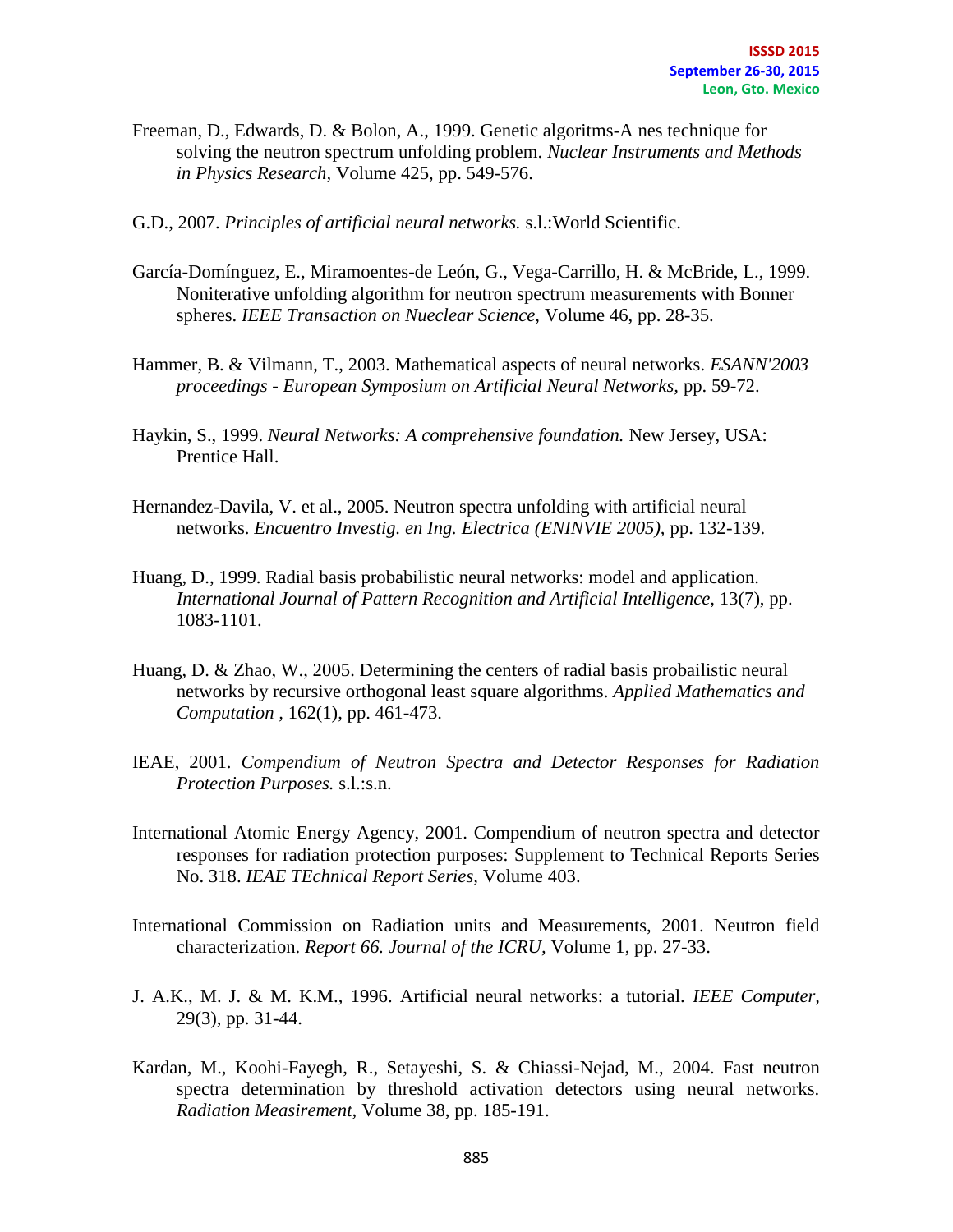- Freeman, D., Edwards, D. & Bolon, A., 1999. Genetic algoritms-A nes technique for solving the neutron spectrum unfolding problem. *Nuclear Instruments and Methods in Physics Research,* Volume 425, pp. 549-576.
- G.D., 2007. *Principles of artificial neural networks.* s.l.:World Scientific.
- García-Domínguez, E., Miramoentes-de León, G., Vega-Carrillo, H. & McBride, L., 1999. Noniterative unfolding algorithm for neutron spectrum measurements with Bonner spheres. *IEEE Transaction on Nueclear Science,* Volume 46, pp. 28-35.
- Hammer, B. & Vilmann, T., 2003. Mathematical aspects of neural networks. *ESANN'2003 proceedings - European Symposium on Artificial Neural Networks,* pp. 59-72.
- Haykin, S., 1999. *Neural Networks: A comprehensive foundation.* New Jersey, USA: Prentice Hall.
- Hernandez-Davila, V. et al., 2005. Neutron spectra unfolding with artificial neural networks. *Encuentro Investig. en Ing. Electrica (ENINVIE 2005),* pp. 132-139.
- Huang, D., 1999. Radial basis probabilistic neural networks: model and application. *International Journal of Pattern Recognition and Artificial Intelligence,* 13(7), pp. 1083-1101.
- Huang, D. & Zhao, W., 2005. Determining the centers of radial basis probailistic neural networks by recursive orthogonal least square algorithms. *Applied Mathematics and Computation ,* 162(1), pp. 461-473.
- IEAE, 2001. *Compendium of Neutron Spectra and Detector Responses for Radiation Protection Purposes.* s.l.:s.n.
- International Atomic Energy Agency, 2001. Compendium of neutron spectra and detector responses for radiation protection purposes: Supplement to Technical Reports Series No. 318. *IEAE TEchnical Report Series,* Volume 403.
- International Commission on Radiation units and Measurements, 2001. Neutron field characterization. *Report 66. Journal of the ICRU,* Volume 1, pp. 27-33.
- J. A.K., M. J. & M. K.M., 1996. Artificial neural networks: a tutorial. *IEEE Computer,*  29(3), pp. 31-44.
- Kardan, M., Koohi-Fayegh, R., Setayeshi, S. & Chiassi-Nejad, M., 2004. Fast neutron spectra determination by threshold activation detectors using neural networks. *Radiation Measirement,* Volume 38, pp. 185-191.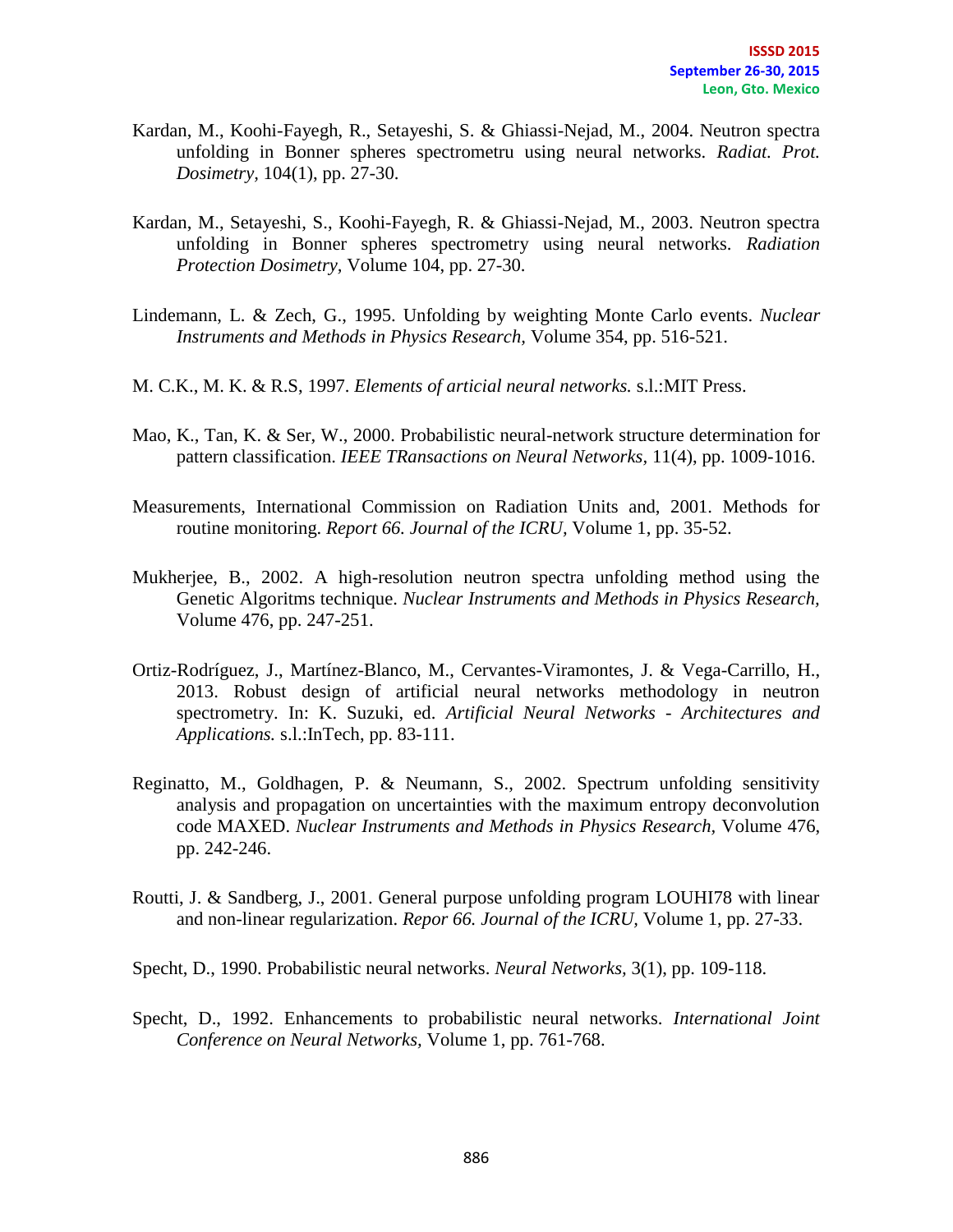- Kardan, M., Koohi-Fayegh, R., Setayeshi, S. & Ghiassi-Nejad, M., 2004. Neutron spectra unfolding in Bonner spheres spectrometru using neural networks. *Radiat. Prot. Dosimetry,* 104(1), pp. 27-30.
- Kardan, M., Setayeshi, S., Koohi-Fayegh, R. & Ghiassi-Nejad, M., 2003. Neutron spectra unfolding in Bonner spheres spectrometry using neural networks. *Radiation Protection Dosimetry,* Volume 104, pp. 27-30.
- Lindemann, L. & Zech, G., 1995. Unfolding by weighting Monte Carlo events. *Nuclear Instruments and Methods in Physics Research,* Volume 354, pp. 516-521.
- M. C.K., M. K. & R.S, 1997. *Elements of articial neural networks.* s.l.:MIT Press.
- Mao, K., Tan, K. & Ser, W., 2000. Probabilistic neural-network structure determination for pattern classification. *IEEE TRansactions on Neural Networks,* 11(4), pp. 1009-1016.
- Measurements, International Commission on Radiation Units and, 2001. Methods for routine monitoring. *Report 66. Journal of the ICRU,* Volume 1, pp. 35-52.
- Mukherjee, B., 2002. A high-resolution neutron spectra unfolding method using the Genetic Algoritms technique. *Nuclear Instruments and Methods in Physics Research,*  Volume 476, pp. 247-251.
- Ortiz-Rodríguez, J., Martínez-Blanco, M., Cervantes-Viramontes, J. & Vega-Carrillo, H., 2013. Robust design of artificial neural networks methodology in neutron spectrometry. In: K. Suzuki, ed. *Artificial Neural Networks - Architectures and Applications.* s.l.:InTech, pp. 83-111.
- Reginatto, M., Goldhagen, P. & Neumann, S., 2002. Spectrum unfolding sensitivity analysis and propagation on uncertainties with the maximum entropy deconvolution code MAXED. *Nuclear Instruments and Methods in Physics Research,* Volume 476, pp. 242-246.
- Routti, J. & Sandberg, J., 2001. General purpose unfolding program LOUHI78 with linear and non-linear regularization. *Repor 66. Journal of the ICRU,* Volume 1, pp. 27-33.
- Specht, D., 1990. Probabilistic neural networks. *Neural Networks,* 3(1), pp. 109-118.
- Specht, D., 1992. Enhancements to probabilistic neural networks. *International Joint Conference on Neural Networks,* Volume 1, pp. 761-768.